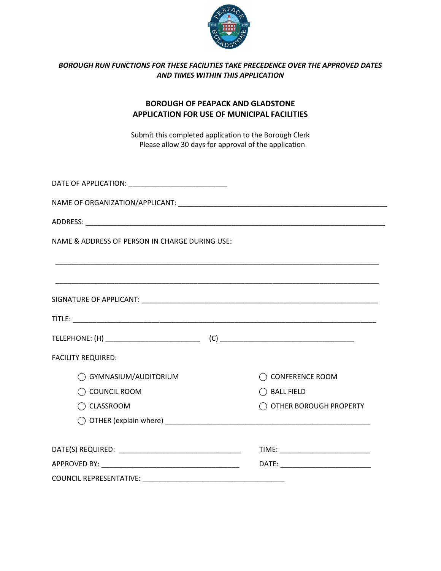

# *BOROUGH RUN FUNCTIONS FOR THESE FACILITIES TAKE PRECEDENCE OVER THE APPROVED DATES AND TIMES WITHIN THIS APPLICATION*

# **BOROUGH OF PEAPACK AND GLADSTONE APPLICATION FOR USE OF MUNICIPAL FACILITIES**

Submit this completed application to the Borough Clerk Please allow 30 days for approval of the application

| NAME & ADDRESS OF PERSON IN CHARGE DURING USE: |                        |
|------------------------------------------------|------------------------|
|                                                |                        |
|                                                |                        |
|                                                |                        |
|                                                |                        |
| <b>FACILITY REQUIRED:</b>                      |                        |
| GYMNASIUM/AUDITORIUM                           | <b>CONFERENCE ROOM</b> |
| COUNCIL ROOM                                   | $\bigcirc$ Ball field  |
| $\bigcirc$ classroom                           | OTHER BOROUGH PROPERTY |
|                                                |                        |
|                                                |                        |
|                                                |                        |
| <b>COUNCIL REPRESENTATIVE:</b>                 |                        |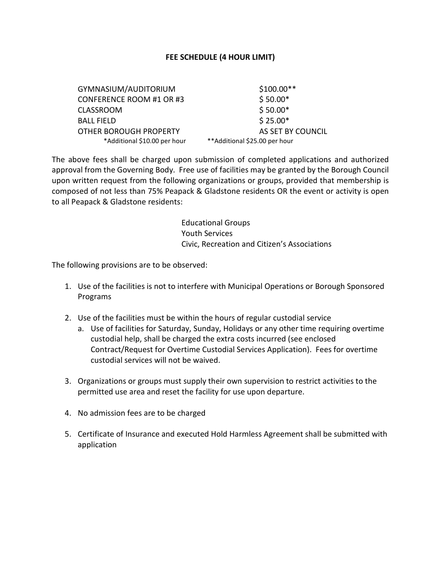# **FEE SCHEDULE (4 HOUR LIMIT)**

GYMNASIUM/AUDITORIUM \$100.00\*\* CONFERENCE ROOM #1 OR #3  $$50.00*$ CLASSROOM \$50.00\* BALL FIELD \$ 25.00\* OTHER BOROUGH PROPERTY AS SET BY COUNCIL \*Additional \$10.00 per hour \*\*Additional \$25.00 per hour

The above fees shall be charged upon submission of completed applications and authorized approval from the Governing Body. Free use of facilities may be granted by the Borough Council upon written request from the following organizations or groups, provided that membership is composed of not less than 75% Peapack & Gladstone residents OR the event or activity is open to all Peapack & Gladstone residents:

> Educational Groups Youth Services Civic, Recreation and Citizen's Associations

The following provisions are to be observed:

- 1. Use of the facilities is not to interfere with Municipal Operations or Borough Sponsored Programs
- 2. Use of the facilities must be within the hours of regular custodial service
	- a. Use of facilities for Saturday, Sunday, Holidays or any other time requiring overtime custodial help, shall be charged the extra costs incurred (see enclosed Contract/Request for Overtime Custodial Services Application). Fees for overtime custodial services will not be waived.
- 3. Organizations or groups must supply their own supervision to restrict activities to the permitted use area and reset the facility for use upon departure.
- 4. No admission fees are to be charged
- 5. Certificate of Insurance and executed Hold Harmless Agreement shall be submitted with application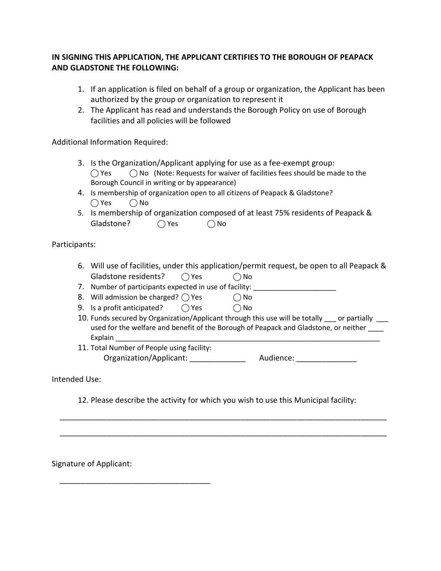# **IN SIGNING THIS APPLICATION, THE APPLICANT CERTIFIES TO THE BOROUGH OF PEAPACK AND GLADSTONE THE FOLLOWING:**

- 1. If an application is filed on behalf of a group or organization, the Applicant has been authorized by the group or organization to represent it
- 2. The Applicant has read and understands the Borough Policy on use of Borough facilities and all policies will be followed

Additional Information Required:

- 3. Is the Organization/Applicant applying for use as a fee-exempt group:  $\bigcirc$  Yes  $\bigcirc$  No (Note: Requests for waiver of facilities fees should be made to the Borough Council in writing or by appearance)
- 4. Is membership of organization open to all citizens of Peapack & Gladstone?  $\bigcap$  Yes  $\bigcap$  No
- 5. Is membership of organization composed of at least 75% residents of Peapack & Gladstone?  $\bigcap$  Yes  $\bigcap$  No

Participants:

6. Will use of facilities, under this application/permit request, be open to all Peapack & Gladstone residents? 
<br>  $\bigcirc$  Yes  $\bigcirc$  No

7. Number of participants expected in use of facility: \_\_\_\_\_\_\_\_\_\_\_\_\_\_\_\_\_\_\_\_\_\_\_\_\_

- 8. Will admission be charged?  $\bigcirc$  Yes  $\bigcirc$  No
- 9. Is a profit anticipated?  $\bigcap$  Yes  $\bigcap$  No
- 10. Funds secured by Organization/Applicant through this use will be totally \_\_\_ or partially \_\_\_ used for the welfare and benefit of the Borough of Peapack and Gladstone, or neither Explain
- 11. Total Number of People using facility: Organization/Applicant: \_\_\_\_\_\_\_\_\_\_\_\_\_\_\_\_ Audience: \_\_\_\_\_\_\_\_\_\_\_\_\_\_\_\_\_\_\_\_\_\_\_\_\_\_\_\_\_

Intended Use:

12. Please describe the activity for which you wish to use this Municipal facility:

\_\_\_\_\_\_\_\_\_\_\_\_\_\_\_\_\_\_\_\_\_\_\_\_\_\_\_\_\_\_\_\_\_\_\_\_\_\_\_\_\_\_\_\_\_\_\_\_\_\_\_\_\_\_\_\_\_\_\_\_\_\_\_\_\_\_\_\_\_\_\_\_\_\_\_\_

\_\_\_\_\_\_\_\_\_\_\_\_\_\_\_\_\_\_\_\_\_\_\_\_\_\_\_\_\_\_\_\_\_\_\_\_\_\_\_\_\_\_\_\_\_\_\_\_\_\_\_\_\_\_\_\_\_\_\_\_\_\_\_\_\_\_\_\_\_\_\_\_\_\_\_\_

Signature of Applicant:

\_\_\_\_\_\_\_\_\_\_\_\_\_\_\_\_\_\_\_\_\_\_\_\_\_\_\_\_\_\_\_\_\_\_\_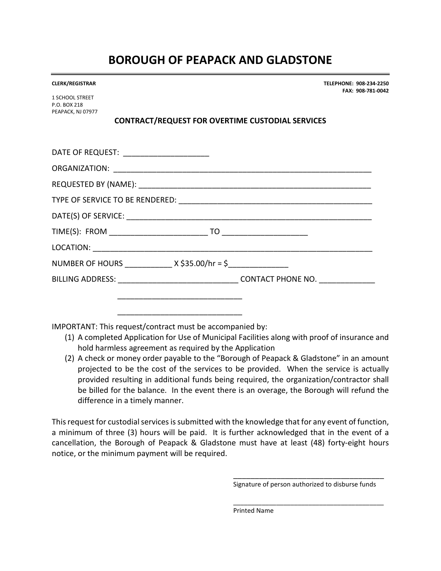# **BOROUGH OF PEAPACK AND GLADSTONE**

| <b>CLERK/REGISTRAR</b> |
|------------------------|
|------------------------|

1 SCHOOL STREET P.O. BOX 218 PEAPACK, NJ 07977

# **CONTRACT/REQUEST FOR OVERTIME CUSTODIAL SERVICES**

| DATE OF REQUEST: ________________________ |  |
|-------------------------------------------|--|
|                                           |  |
|                                           |  |
|                                           |  |
|                                           |  |
|                                           |  |
|                                           |  |
| NUMBER OF HOURS $X \xi 35.00/hr = \xi$    |  |
| BILLING ADDRESS: CONTACT PHONE NO.        |  |
|                                           |  |

IMPORTANT: This request/contract must be accompanied by:

 $\overline{\phantom{a}}$  , which is the contract of the contract of the contract of the contract of the contract of the contract of the contract of the contract of the contract of the contract of the contract of the contract of the co

- (1) A completed Application for Use of Municipal Facilities along with proof of insurance and hold harmless agreement as required by the Application
- (2) A check or money order payable to the "Borough of Peapack & Gladstone" in an amount projected to be the cost of the services to be provided. When the service is actually provided resulting in additional funds being required, the organization/contractor shall be billed for the balance. In the event there is an overage, the Borough will refund the difference in a timely manner.

This request for custodial services is submitted with the knowledge that for any event of function, a minimum of three (3) hours will be paid. It is further acknowledged that in the event of a cancellation, the Borough of Peapack & Gladstone must have at least (48) forty-eight hours notice, or the minimum payment will be required.

> \_\_\_\_\_\_\_\_\_\_\_\_\_\_\_\_\_\_\_\_\_\_\_\_\_\_\_\_\_\_\_\_\_\_\_ Signature of person authorized to disburse funds

> \_\_\_\_\_\_\_\_\_\_\_\_\_\_\_\_\_\_\_\_\_\_\_\_\_\_\_\_\_\_\_\_\_\_\_\_\_\_\_\_\_\_

**CLERK/REGISTRAR TELEPHONE: 908-234-2250 FAX: 908-781-0042**

Printed Name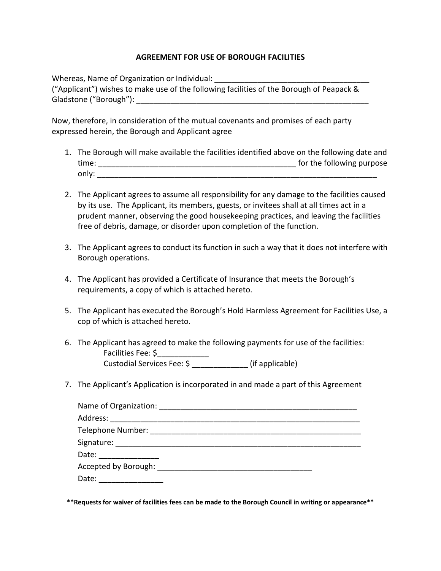## **AGREEMENT FOR USE OF BOROUGH FACILITIES**

Whereas, Name of Organization or Individual:

("Applicant") wishes to make use of the following facilities of the Borough of Peapack & Gladstone ("Borough"): **Example 2018** 

Now, therefore, in consideration of the mutual covenants and promises of each party expressed herein, the Borough and Applicant agree

- 1. The Borough will make available the facilities identified above on the following date and time: \_\_\_\_\_\_\_\_\_\_\_\_\_\_\_\_\_\_\_\_\_\_\_\_\_\_\_\_\_\_\_\_\_\_\_\_\_\_\_\_\_\_\_\_\_\_ for the following purpose only: \_\_\_\_\_\_\_\_\_\_\_\_\_\_\_\_\_\_\_\_\_\_\_\_\_\_\_\_\_\_\_\_\_\_\_\_\_\_\_\_\_\_\_\_\_\_\_\_\_\_\_\_\_\_\_\_\_\_\_\_\_\_\_\_\_
- 2. The Applicant agrees to assume all responsibility for any damage to the facilities caused by its use. The Applicant, its members, guests, or invitees shall at all times act in a prudent manner, observing the good housekeeping practices, and leaving the facilities free of debris, damage, or disorder upon completion of the function.
- 3. The Applicant agrees to conduct its function in such a way that it does not interfere with Borough operations.
- 4. The Applicant has provided a Certificate of Insurance that meets the Borough's requirements, a copy of which is attached hereto.
- 5. The Applicant has executed the Borough's Hold Harmless Agreement for Facilities Use, a cop of which is attached hereto.
- 6. The Applicant has agreed to make the following payments for use of the facilities: Facilities Fee: \$\_\_\_\_\_\_\_\_\_\_\_\_ racilities ree. >\_\_\_\_\_\_\_\_\_\_\_\_\_\_\_\_<br>Custodial Services Fee: \$ \_\_\_\_\_\_\_\_\_\_\_\_\_\_\_ (if applicable)
- 7. The Applicant's Application is incorporated in and made a part of this Agreement

| Signature: __________________________________ |                                                        |  |
|-----------------------------------------------|--------------------------------------------------------|--|
| Date: ________________                        |                                                        |  |
|                                               | Accepted by Borough: _________________________________ |  |
| Date:                                         |                                                        |  |

**\*\*Requests for waiver of facilities fees can be made to the Borough Council in writing or appearance\*\***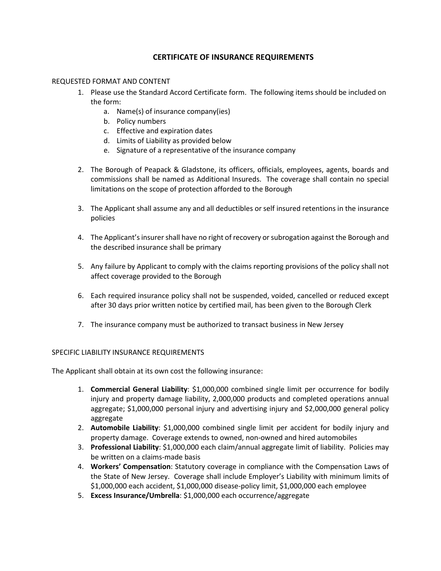## **CERTIFICATE OF INSURANCE REQUIREMENTS**

#### REQUESTED FORMAT AND CONTENT

- 1. Please use the Standard Accord Certificate form. The following items should be included on the form:
	- a. Name(s) of insurance company(ies)
	- b. Policy numbers
	- c. Effective and expiration dates
	- d. Limits of Liability as provided below
	- e. Signature of a representative of the insurance company
- 2. The Borough of Peapack & Gladstone, its officers, officials, employees, agents, boards and commissions shall be named as Additional Insureds. The coverage shall contain no special limitations on the scope of protection afforded to the Borough
- 3. The Applicant shall assume any and all deductibles or self insured retentions in the insurance policies
- 4. The Applicant's insurer shall have no right of recovery or subrogation against the Borough and the described insurance shall be primary
- 5. Any failure by Applicant to comply with the claims reporting provisions of the policy shall not affect coverage provided to the Borough
- 6. Each required insurance policy shall not be suspended, voided, cancelled or reduced except after 30 days prior written notice by certified mail, has been given to the Borough Clerk
- 7. The insurance company must be authorized to transact business in New Jersey

#### SPECIFIC LIABILITY INSURANCE REQUIREMENTS

The Applicant shall obtain at its own cost the following insurance:

- 1. **Commercial General Liability**: \$1,000,000 combined single limit per occurrence for bodily injury and property damage liability, 2,000,000 products and completed operations annual aggregate; \$1,000,000 personal injury and advertising injury and \$2,000,000 general policy aggregate
- 2. **Automobile Liability**: \$1,000,000 combined single limit per accident for bodily injury and property damage. Coverage extends to owned, non-owned and hired automobiles
- 3. **Professional Liability**: \$1,000,000 each claim/annual aggregate limit of liability. Policies may be written on a claims-made basis
- 4. **Workers' Compensation**: Statutory coverage in compliance with the Compensation Laws of the State of New Jersey. Coverage shall include Employer's Liability with minimum limits of \$1,000,000 each accident, \$1,000,000 disease-policy limit, \$1,000,000 each employee
- 5. **Excess Insurance/Umbrella**: \$1,000,000 each occurrence/aggregate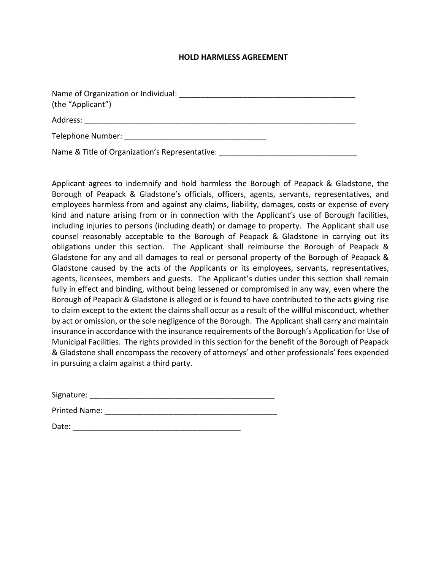#### **HOLD HARMLESS AGREEMENT**

| Name of Organization or Individual:            |
|------------------------------------------------|
| (the "Applicant")                              |
| Address:                                       |
| Telephone Number:                              |
| Name & Title of Organization's Representative: |

Applicant agrees to indemnify and hold harmless the Borough of Peapack & Gladstone, the Borough of Peapack & Gladstone's officials, officers, agents, servants, representatives, and employees harmless from and against any claims, liability, damages, costs or expense of every kind and nature arising from or in connection with the Applicant's use of Borough facilities, including injuries to persons (including death) or damage to property. The Applicant shall use counsel reasonably acceptable to the Borough of Peapack & Gladstone in carrying out its obligations under this section. The Applicant shall reimburse the Borough of Peapack & Gladstone for any and all damages to real or personal property of the Borough of Peapack & Gladstone caused by the acts of the Applicants or its employees, servants, representatives, agents, licensees, members and guests. The Applicant's duties under this section shall remain fully in effect and binding, without being lessened or compromised in any way, even where the Borough of Peapack & Gladstone is alleged or is found to have contributed to the acts giving rise to claim except to the extent the claims shall occur as a result of the willful misconduct, whether by act or omission, or the sole negligence of the Borough. The Applicant shall carry and maintain insurance in accordance with the insurance requirements of the Borough's Application for Use of Municipal Facilities. The rights provided in this section for the benefit of the Borough of Peapack & Gladstone shall encompass the recovery of attorneys' and other professionals' fees expended in pursuing a claim against a third party.

Date: \_\_\_\_\_\_\_\_\_\_\_\_\_\_\_\_\_\_\_\_\_\_\_\_\_\_\_\_\_\_\_\_\_\_\_\_\_\_\_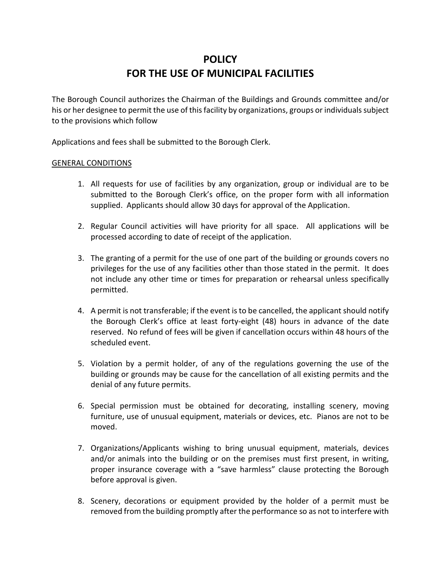# **POLICY FOR THE USE OF MUNICIPAL FACILITIES**

The Borough Council authorizes the Chairman of the Buildings and Grounds committee and/or his or her designee to permit the use of this facility by organizations, groups or individuals subject to the provisions which follow

Applications and fees shall be submitted to the Borough Clerk.

## GENERAL CONDITIONS

- 1. All requests for use of facilities by any organization, group or individual are to be submitted to the Borough Clerk's office, on the proper form with all information supplied. Applicants should allow 30 days for approval of the Application.
- 2. Regular Council activities will have priority for all space. All applications will be processed according to date of receipt of the application.
- 3. The granting of a permit for the use of one part of the building or grounds covers no privileges for the use of any facilities other than those stated in the permit. It does not include any other time or times for preparation or rehearsal unless specifically permitted.
- 4. A permit is not transferable; if the event is to be cancelled, the applicant should notify the Borough Clerk's office at least forty-eight (48) hours in advance of the date reserved. No refund of fees will be given if cancellation occurs within 48 hours of the scheduled event.
- 5. Violation by a permit holder, of any of the regulations governing the use of the building or grounds may be cause for the cancellation of all existing permits and the denial of any future permits.
- 6. Special permission must be obtained for decorating, installing scenery, moving furniture, use of unusual equipment, materials or devices, etc. Pianos are not to be moved.
- 7. Organizations/Applicants wishing to bring unusual equipment, materials, devices and/or animals into the building or on the premises must first present, in writing, proper insurance coverage with a "save harmless" clause protecting the Borough before approval is given.
- 8. Scenery, decorations or equipment provided by the holder of a permit must be removed from the building promptly after the performance so as not to interfere with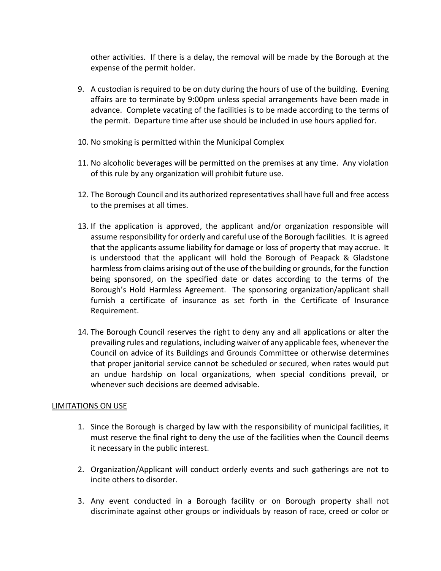other activities. If there is a delay, the removal will be made by the Borough at the expense of the permit holder.

- 9. A custodian is required to be on duty during the hours of use of the building. Evening affairs are to terminate by 9:00pm unless special arrangements have been made in advance. Complete vacating of the facilities is to be made according to the terms of the permit. Departure time after use should be included in use hours applied for.
- 10. No smoking is permitted within the Municipal Complex
- 11. No alcoholic beverages will be permitted on the premises at any time. Any violation of this rule by any organization will prohibit future use.
- 12. The Borough Council and its authorized representatives shall have full and free access to the premises at all times.
- 13. If the application is approved, the applicant and/or organization responsible will assume responsibility for orderly and careful use of the Borough facilities. It is agreed that the applicants assume liability for damage or loss of property that may accrue. It is understood that the applicant will hold the Borough of Peapack & Gladstone harmless from claims arising out of the use of the building or grounds, for the function being sponsored, on the specified date or dates according to the terms of the Borough's Hold Harmless Agreement. The sponsoring organization/applicant shall furnish a certificate of insurance as set forth in the Certificate of Insurance Requirement.
- 14. The Borough Council reserves the right to deny any and all applications or alter the prevailing rules and regulations, including waiver of any applicable fees, whenever the Council on advice of its Buildings and Grounds Committee or otherwise determines that proper janitorial service cannot be scheduled or secured, when rates would put an undue hardship on local organizations, when special conditions prevail, or whenever such decisions are deemed advisable.

## LIMITATIONS ON USE

- 1. Since the Borough is charged by law with the responsibility of municipal facilities, it must reserve the final right to deny the use of the facilities when the Council deems it necessary in the public interest.
- 2. Organization/Applicant will conduct orderly events and such gatherings are not to incite others to disorder.
- 3. Any event conducted in a Borough facility or on Borough property shall not discriminate against other groups or individuals by reason of race, creed or color or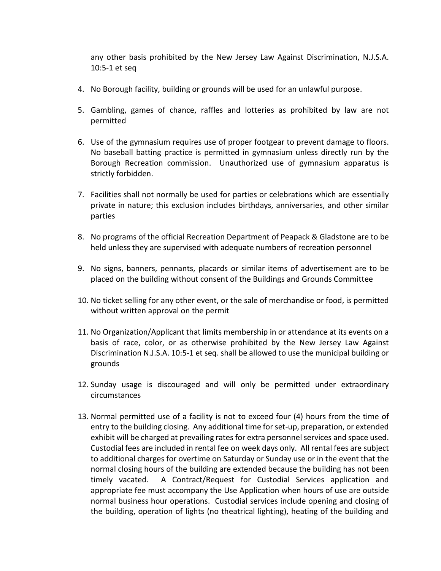any other basis prohibited by the New Jersey Law Against Discrimination, N.J.S.A. 10:5-1 et seq

- 4. No Borough facility, building or grounds will be used for an unlawful purpose.
- 5. Gambling, games of chance, raffles and lotteries as prohibited by law are not permitted
- 6. Use of the gymnasium requires use of proper footgear to prevent damage to floors. No baseball batting practice is permitted in gymnasium unless directly run by the Borough Recreation commission. Unauthorized use of gymnasium apparatus is strictly forbidden.
- 7. Facilities shall not normally be used for parties or celebrations which are essentially private in nature; this exclusion includes birthdays, anniversaries, and other similar parties
- 8. No programs of the official Recreation Department of Peapack & Gladstone are to be held unless they are supervised with adequate numbers of recreation personnel
- 9. No signs, banners, pennants, placards or similar items of advertisement are to be placed on the building without consent of the Buildings and Grounds Committee
- 10. No ticket selling for any other event, or the sale of merchandise or food, is permitted without written approval on the permit
- 11. No Organization/Applicant that limits membership in or attendance at its events on a basis of race, color, or as otherwise prohibited by the New Jersey Law Against Discrimination N.J.S.A. 10:5-1 et seq. shall be allowed to use the municipal building or grounds
- 12. Sunday usage is discouraged and will only be permitted under extraordinary circumstances
- 13. Normal permitted use of a facility is not to exceed four (4) hours from the time of entry to the building closing. Any additional time for set-up, preparation, or extended exhibit will be charged at prevailing rates for extra personnel services and space used. Custodial fees are included in rental fee on week days only. All rental fees are subject to additional charges for overtime on Saturday or Sunday use or in the event that the normal closing hours of the building are extended because the building has not been timely vacated. A Contract/Request for Custodial Services application and appropriate fee must accompany the Use Application when hours of use are outside normal business hour operations. Custodial services include opening and closing of the building, operation of lights (no theatrical lighting), heating of the building and